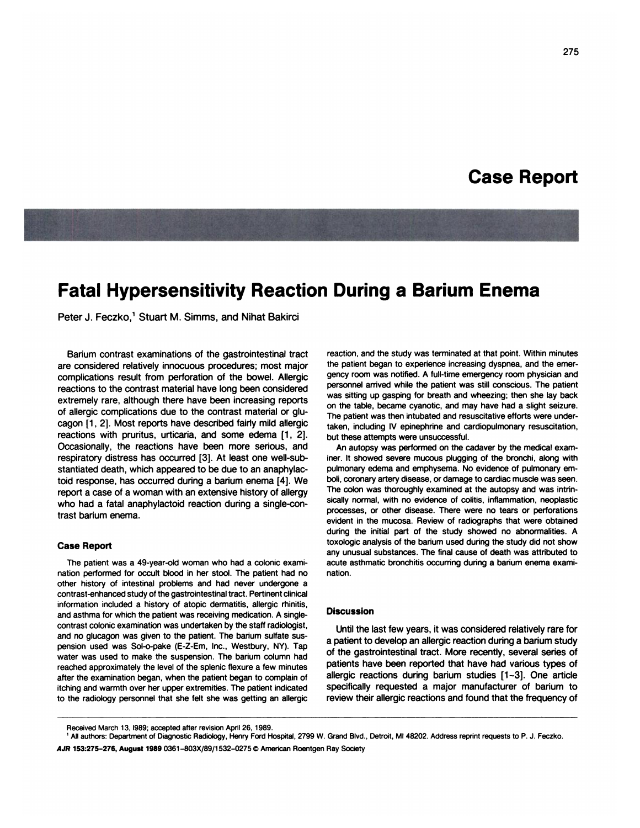# **Case Report**

# **Fatal Hypersensitivity Reaction During a Barium Enema**

Peter J. Feczko,<sup>1</sup> Stuart M. Simms, and Nihat Bakirci

Barium contrast examinations of the gastrointestinal tract are considered relatively innocuous procedures; most major complications result from perforation of the bowel. Allergic reactions to the contrast material have long been considered extremely rare, although there have been increasing reports of allergic complications due to the contrast material or glucagon [1, 2]. Most reports have described fairly mild allergic reactions with pruritus, urticaria, and some edema [1, 2]. Occasionally, the reactions have been more serious, and respiratory distress has occurred [3]. At least one well-substantiated death, which appeared to be due to an anaphylactoid response, has occurred during a barium enema [4]. We report a case of a woman with an extensive history of allergy who had a fatal anaphylactoid reaction during a single-contrast barium enema.

### **Case** Report

The patient was a 49-year-old woman who had a colonic examination performed for occult blood in her stool. The patient had no other history of intestinal problems and had never undergone a contrast-enhanced study of the gastrointestinal tract. Pertinent clinical information included a history of atopic dermatitis, allergic rhinitis, and asthma for which the patient was receiving medication. A singlecontrast colonic examination was undertaken by the staff radiologist, and no glucagon was given to the patient. The barium sulfate sus pension used was SoI-o-pake (E-Z-Em, Inc., Westbury, NY). Tap water was used to make the suspension. The barium column had reached approximately the level of the splenic flexure a few minutes after the examination began, when the patient began to complain of itching and warmth over her upper extremities. The patient indicated to the radiology personnel that she felt she was getting an allergic

reaction, and the study was terminated at that point. Within minutes the patient began to experience increasing dyspnea, and the emer gency room **was notified. A full-time emergency room physician** and personnel arrived while the patient was still conscious. The patient **was sitting up gasping for breath and wheezing; then she lay back** on the table, became cyanotic, and may have had a slight seizure. The patient was then intubated and resuscitative efforts were undertaken, including IV epinephrine and cardiopulmonary resuscitation, but these attempts were unsuccessful.

An autopsy was performed on the cadaver by the medical examiner. It showed severe mucous plugging of the bronchi, along with pulmonary edema and emphysema. No evidence of pulmonary emboli, coronary artery disease, or damage to cardiac muscle was seen. The colon was thoroughly examined at the autopsy and was intrinsically normal, with no evidence of colitis, inflammation, neoplastic processes, or other disease. There **were no tears or perforations** evident in the mucosa. Review of radiographs that were obtained during the initial part of the study showed no abnormalities. A toxologic analysis of the barium used during the study did not show any unusual substances. The final cause of death was attributed to acute asthmatic bronchitis occurring during **a** barium enema examination.

#### **Discussion**

Until the last few years, it was considered relatively rare for a patient to develop an allergic reaction during a barium study of the gastrointestinal tract. More recently, several series of patients have been reported that have had various types of allergic reactions during barium studies [1-3]. One article specifically requested a major manufacturer of barium to review their allergic reactions and found that the frequency of

Received March 13, 1989; accepted after revision April 26, 1989. Received March 13, 1989; accepted after revision April 26, 1989.

<sup>&</sup>lt;sup>1</sup> All authors: Department of Diagnostic Radiology, Henry Ford Hospital, 2799 W. Grand Blvd., Detroit, MI 48202. Address reprint requests to P. J. Feczko. AJR **153:275-276, August 1989** 0361 -803X/89/1 532-02750 American Roentgen Ray Society